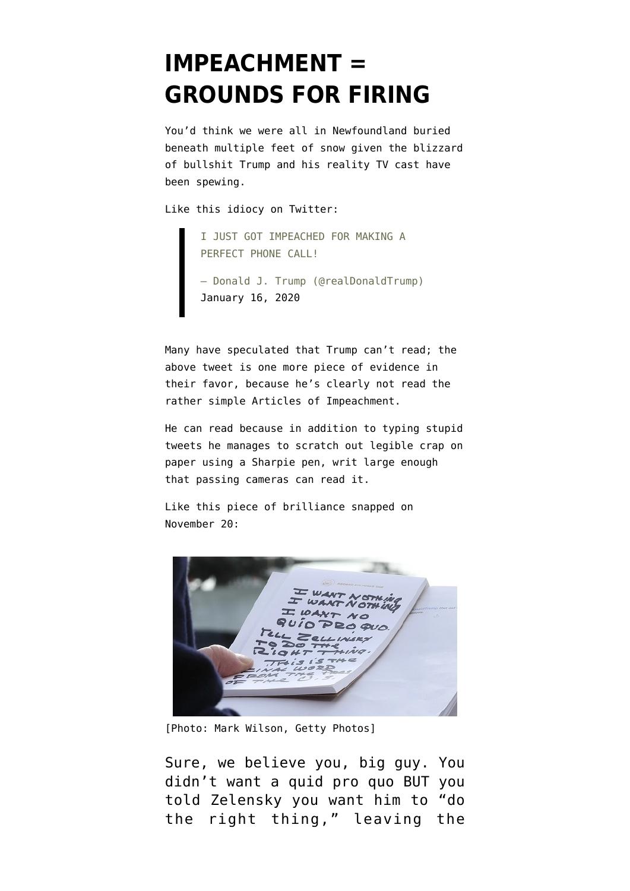## **[IMPEACHMENT =](https://www.emptywheel.net/2020/01/20/impeachment-grounds-for-firing/) [GROUNDS FOR FIRING](https://www.emptywheel.net/2020/01/20/impeachment-grounds-for-firing/)**

You'd think we were all in Newfoundland [buried](https://twitter.com/CBCAlerts/status/1219232313294446592) [beneath multiple feet of snow](https://twitter.com/CBCAlerts/status/1219232313294446592) given the blizzard of bullshit Trump and his reality TV cast have been spewing.

Like this idiocy on Twitter:

I JUST GOT IMPEACHED FOR MAKING A PERFECT PHONE CALL!

— Donald J. Trump (@realDonaldTrump) [January 16, 2020](https://twitter.com/realDonaldTrump/status/1217909231946477575?ref_src=twsrc%5Etfw)

Many have speculated that Trump can't read; the above tweet is one more piece of evidence in their favor, because he's clearly not read the rather simple [Articles of Impeachment](https://www.documentcloud.org/documents/6572303-Articles-of-Impeachment.html).

He can read because in addition to typing stupid tweets he manages to scratch out legible crap on paper using a Sharpie pen, writ large enough that passing cameras can read it.

Like this [piece of brilliance](https://www.nbcnews.com/politics/trump-impeachment-inquiry/photographer-captures-trump-s-handwritten-talking-points-responding-sondland-n1087026) snapped on November 20:



[Photo: Mark Wilson, Getty Photos]

Sure, we believe you, big guy. You didn't want a quid pro quo BUT you told Zelensky you want him to "do the right thing," leaving the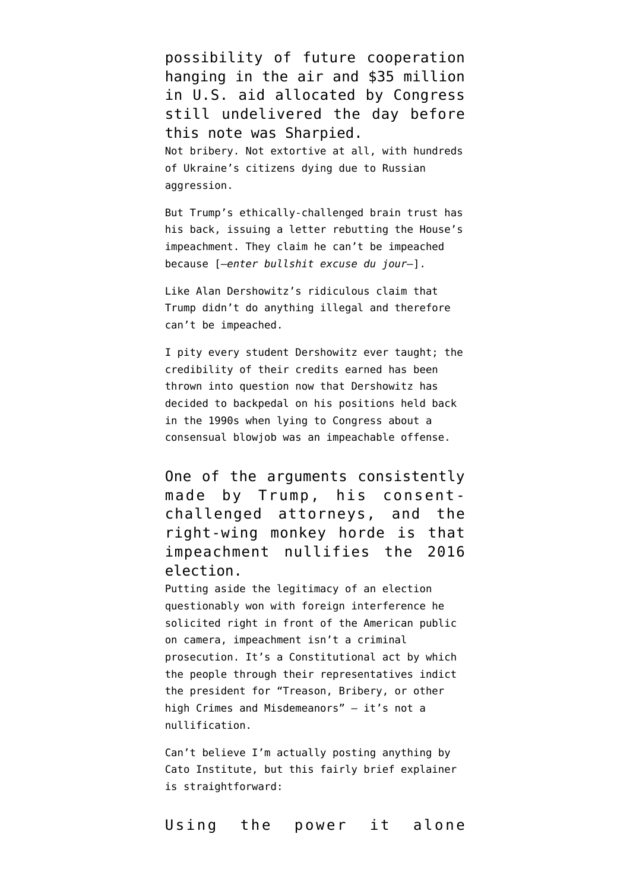possibility of future cooperation hanging in the air and \$35 million in U.S. aid allocated by Congress [still undelivered the day before](https://www.latimes.com/politics/story/2019-11-19/documents-show-nearly-40-million-in-ukraine-aid-delayed-despite-white-house-assurances) this note was Sharpied. Not bribery. Not extortive at all, with hundreds of Ukraine's citizens dying due to Russian aggression.

But Trump's [ethically-challenged brain trust](https://www.cnbc.com/2020/01/17/trump-impeachment-defense-to-include-ken-starr-alan-dershowitz.html) has his back, [issuing a letter](https://www.thedailybeast.com/trump-lawyers-to-senate-reject-defective-impeachment-articles-to-protect-the-will-of-the-american-people) rebutting the House's impeachment. They claim he can't be impeached because [—*enter bullshit excuse du jour—*].

Like Alan Dershowitz's ridiculous claim that Trump didn't do anything illegal and therefore can't be impeached.

I pity every student [Dershowitz](https://twitter.com/jkbjournalist/status/1218339023497912320) ever taught; the credibility of their credits earned has been thrown into question now that Dershowitz has decided to backpedal on his positions held back in the 1990s when lying to Congress about a consensual blowjob was an impeachable offense.

One of the arguments consistently made by Trump, his consentchallenged attorneys, and the right-wing monkey horde is that impeachment nullifies the 2016 election.

Putting aside the legitimacy of an election questionably won with foreign interference he [solicited right in front of the American public](https://www.youtube.com/watch?v=mQb2S4DIcNc) [on camera,](https://www.youtube.com/watch?v=mQb2S4DIcNc) impeachment isn't a criminal prosecution. It's a Constitutional act by which the people through their representatives indict the president for ["Treason, Bribery, or other](https://constitutionus.com/#a2s4) [high Crimes and Misdemeanors](https://constitutionus.com/#a2s4)" — it's [not a](https://www.snopes.com/fact-check/failed-impeachment-nullify-term/) [nullification](https://www.snopes.com/fact-check/failed-impeachment-nullify-term/).

Can't believe I'm actually posting anything by Cato Institute, but this fairly brief explainer is straightforward:

Using the power it alone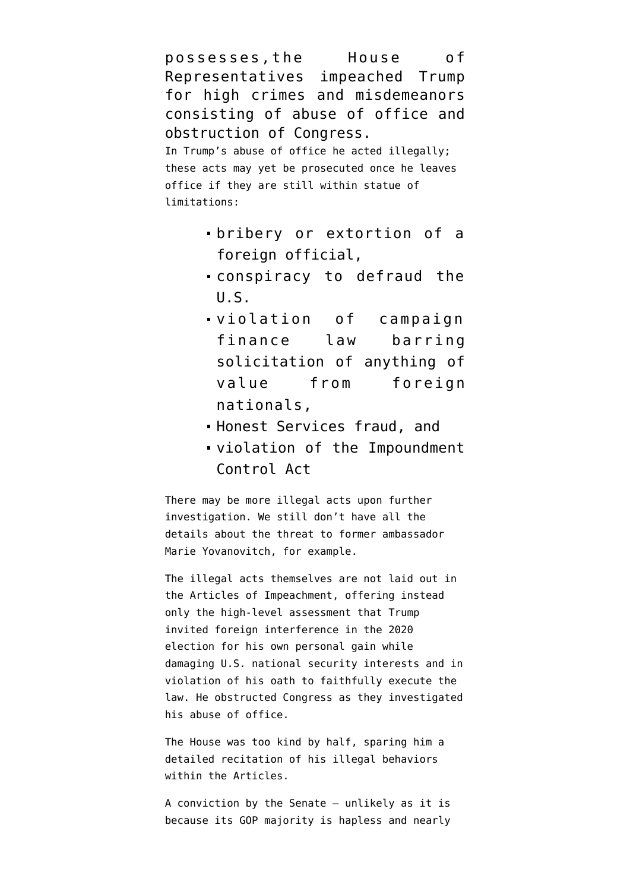possesses,the House of Representatives impeached Trump for high crimes and misdemeanors consisting of abuse of office and obstruction of Congress. In Trump's abuse of office he acted illegally;

these acts may yet be prosecuted once he leaves office if they are still within statue of limitations:

- [bribery](https://www.law.cornell.edu/uscode/text/18/201) or [extortion](https://www.law.cornell.edu/uscode/text/18/878) of a [foreign official,](https://www.law.cornell.edu/uscode/text/18/112)
- [conspiracy to defraud the](https://www.law.cornell.edu/uscode/text/18/371) [U.S.](https://www.law.cornell.edu/uscode/text/18/371)
- violation of [campaign](https://www.law.cornell.edu/uscode/text/52/30121) [finance law](https://www.law.cornell.edu/uscode/text/52/30121) barring solicitation of anything of value from foreign nationals,
- [Honest Services fraud](https://www.justsecurity.org/66291/trumps-call-to-ukraine-may-constitute-honest-services-fraud-a-core-crime-of-public-corruption/), and
- violation of the [Impoundment](https://en.wikipedia.org/wiki/Congressional_Budget_and_Impoundment_Control_Act_of_1974) [Control Act](https://en.wikipedia.org/wiki/Congressional_Budget_and_Impoundment_Control_Act_of_1974)

There may be more illegal acts upon further investigation. We still don't have all the details about the threat to former ambassador Marie Yovanovitch, for example.

The illegal acts themselves are not laid out in the Articles of Impeachment, offering instead only the high-level assessment that Trump invited foreign interference in the 2020 election for his own personal gain while damaging U.S. national security interests and in violation of his oath to faithfully execute the law. He obstructed Congress as they investigated his abuse of office.

The House was too kind by half, sparing him a detailed recitation of his illegal behaviors within the Articles.

A conviction by the Senate — unlikely as it is because its GOP majority is hapless and nearly